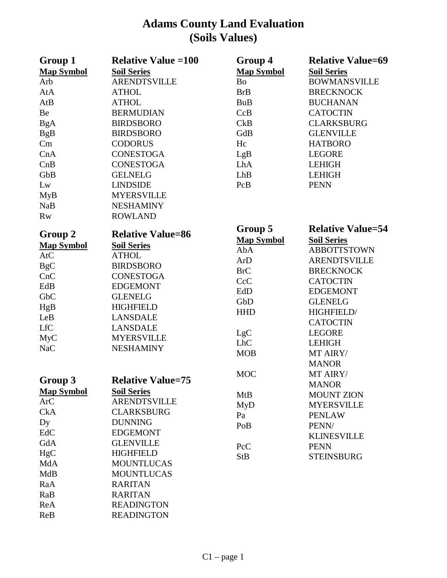## **Adams County Land Evaluation (Soils Values)**

| Group 1           | <b>Relative Value = 100</b> | Group 4           | <b>Relative Value=69</b> |
|-------------------|-----------------------------|-------------------|--------------------------|
| <b>Map Symbol</b> | <b>Soil Series</b>          | <b>Map Symbol</b> | <b>Soil Series</b>       |
| Arb               | <b>ARENDTSVILLE</b>         | Bo                | <b>BOWMANSVILLE</b>      |
| AtA               | <b>ATHOL</b>                | <b>BrB</b>        | <b>BRECKNOCK</b>         |
| AtB               | <b>ATHOL</b>                | <b>BuB</b>        | <b>BUCHANAN</b>          |
| Be                | <b>BERMUDIAN</b>            | CcB               | <b>CATOCTIN</b>          |
| $\rm BgA$         | <b>BIRDSBORO</b>            | CkB               | <b>CLARKSBURG</b>        |
| <b>BgB</b>        | <b>BIRDSBORO</b>            | GdB               | <b>GLENVILLE</b>         |
| Cm                | <b>CODORUS</b>              | Hc                | <b>HATBORO</b>           |
| CnA               | <b>CONESTOGA</b>            | LgB               | <b>LEGORE</b>            |
| CnB               | <b>CONESTOGA</b>            | LhA               | <b>LEHIGH</b>            |
| GbB               | <b>GELNELG</b>              | LhB               | <b>LEHIGH</b>            |
| Lw                | <b>LINDSIDE</b>             | PcB               | <b>PENN</b>              |
| <b>MyB</b>        | <b>MYERSVILLE</b>           |                   |                          |
| <b>NaB</b>        | <b>NESHAMINY</b>            |                   |                          |
| <b>Rw</b>         | <b>ROWLAND</b>              |                   |                          |
|                   |                             | Group 5           | <b>Relative Value=54</b> |
| Group 2           | <b>Relative Value=86</b>    | <b>Map Symbol</b> | <b>Soil Series</b>       |
| <b>Map Symbol</b> | <b>Soil Series</b>          | AbA               | <b>ABBOTTSTOWN</b>       |
| AtC               | <b>ATHOL</b>                | ArD               | <b>ARENDTSVILLE</b>      |
| <b>BgC</b>        | <b>BIRDSBORO</b>            | <b>BrC</b>        | <b>BRECKNOCK</b>         |
| CnC               | <b>CONESTOGA</b>            | CcC               | <b>CATOCTIN</b>          |
| EdB               | <b>EDGEMONT</b>             | EdD               | <b>EDGEMONT</b>          |
| GbC               | <b>GLENELG</b>              | GbD               | <b>GLENELG</b>           |
| HgB               | <b>HIGHFIELD</b>            | <b>HHD</b>        | HIGHFIELD/               |
| LeB               | <b>LANSDALE</b>             |                   | <b>CATOCTIN</b>          |
| <b>LfC</b>        | <b>LANSDALE</b>             | LgC               | <b>LEGORE</b>            |
| <b>MyC</b>        | <b>MYERSVILLE</b>           | <b>LhC</b>        | <b>LEHIGH</b>            |
| NaC               | <b>NESHAMINY</b>            | <b>MOB</b>        | MT AIRY/                 |
|                   |                             |                   | <b>MANOR</b>             |
|                   |                             | <b>MOC</b>        | MT AIRY/                 |
| Group 3           | <b>Relative Value=75</b>    |                   | <b>MANOR</b>             |
| <b>Map Symbol</b> | <b>Soil Series</b>          | <b>MtB</b>        | <b>MOUNT ZION</b>        |
| <b>ArC</b>        | <b>ARENDTSVILLE</b>         | <b>MyD</b>        | <b>MYERSVILLE</b>        |
| <b>CkA</b>        | <b>CLARKSBURG</b>           | Pa                | <b>PENLAW</b>            |
| Dy                | <b>DUNNING</b>              | PoB               | PENN/                    |
| EdC               | <b>EDGEMONT</b>             |                   | <b>KLINESVILLE</b>       |
| GdA               | <b>GLENVILLE</b>            | PcC               | <b>PENN</b>              |
| HgC               | <b>HIGHFIELD</b>            | <b>StB</b>        | <b>STEINSBURG</b>        |
| MdA               | <b>MOUNTLUCAS</b>           |                   |                          |
| <b>MdB</b>        | <b>MOUNTLUCAS</b>           |                   |                          |
| RaA               | <b>RARITAN</b>              |                   |                          |
| RaB               | <b>RARITAN</b>              |                   |                          |
| ReA               | <b>READINGTON</b>           |                   |                          |
| ReB               | <b>READINGTON</b>           |                   |                          |